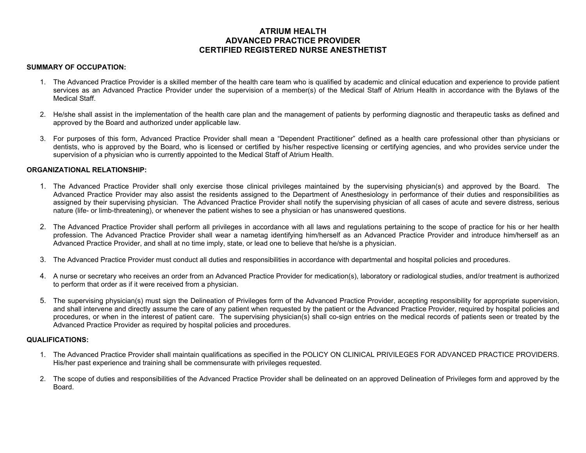# **ATRIUM HEALTH ADVANCED PRACTICE PROVIDER CERTIFIED REGISTERED NURSE ANESTHETIST**

# **SUMMARY OF OCCUPATION:**

- 1. The Advanced Practice Provider is a skilled member of the health care team who is qualified by academic and clinical education and experience to provide patient services as an Advanced Practice Provider under the supervision of a member(s) of the Medical Staff of Atrium Health in accordance with the Bylaws of the Medical Staff.
- 2. He/she shall assist in the implementation of the health care plan and the management of patients by performing diagnostic and therapeutic tasks as defined and approved by the Board and authorized under applicable law.
- 3. For purposes of this form, Advanced Practice Provider shall mean a "Dependent Practitioner" defined as a health care professional other than physicians or dentists, who is approved by the Board, who is licensed or certified by his/her respective licensing or certifying agencies, and who provides service under the supervision of a physician who is currently appointed to the Medical Staff of Atrium Health.

# **ORGANIZATIONAL RELATIONSHIP:**

- 1. The Advanced Practice Provider shall only exercise those clinical privileges maintained by the supervising physician(s) and approved by the Board. The Advanced Practice Provider may also assist the residents assigned to the Department of Anesthesiology in performance of their duties and responsibilities as assigned by their supervising physician. The Advanced Practice Provider shall notify the supervising physician of all cases of acute and severe distress, serious nature (life- or limb-threatening), or whenever the patient wishes to see a physician or has unanswered questions.
- 2. The Advanced Practice Provider shall perform all privileges in accordance with all laws and regulations pertaining to the scope of practice for his or her health profession. The Advanced Practice Provider shall wear a nametag identifying him/herself as an Advanced Practice Provider and introduce him/herself as an Advanced Practice Provider, and shall at no time imply, state, or lead one to believe that he/she is a physician.
- 3. The Advanced Practice Provider must conduct all duties and responsibilities in accordance with departmental and hospital policies and procedures.
- 4. A nurse or secretary who receives an order from an Advanced Practice Provider for medication(s), laboratory or radiological studies, and/or treatment is authorized to perform that order as if it were received from a physician.
- 5. The supervising physician(s) must sign the Delineation of Privileges form of the Advanced Practice Provider, accepting responsibility for appropriate supervision, and shall intervene and directly assume the care of any patient when requested by the patient or the Advanced Practice Provider, required by hospital policies and procedures, or when in the interest of patient care. The supervising physician(s) shall co-sign entries on the medical records of patients seen or treated by the Advanced Practice Provider as required by hospital policies and procedures.

## **QUALIFICATIONS:**

- 1. The Advanced Practice Provider shall maintain qualifications as specified in the POLICY ON CLINICAL PRIVILEGES FOR ADVANCED PRACTICE PROVIDERS. His/her past experience and training shall be commensurate with privileges requested.
- 2. The scope of duties and responsibilities of the Advanced Practice Provider shall be delineated on an approved Delineation of Privileges form and approved by the Board.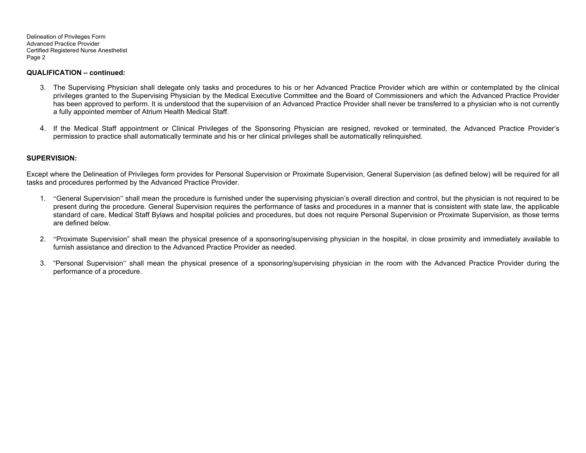Delineation of Privileges Form Advanced Practice Provider Certified Registered Nurse Anesthetist Page 2

## **QUALIFICATION – continued:**

- 3. The Supervising Physician shall delegate only tasks and procedures to his or her Advanced Practice Provider which are within or contemplated by the clinical privileges granted to the Supervising Physician by the Medical Executive Committee and the Board of Commissioners and which the Advanced Practice Provider has been approved to perform. It is understood that the supervision of an Advanced Practice Provider shall never be transferred to a physician who is not currently a fully appointed member of Atrium Health Medical Staff.
- 4. If the Medical Staff appointment or Clinical Privileges of the Sponsoring Physician are resigned, revoked or terminated, the Advanced Practice Provider's permission to practice shall automatically terminate and his or her clinical privileges shall be automatically relinquished.

# **SUPERVISION:**

Except where the Delineation of Privileges form provides for Personal Supervision or Proximate Supervision, General Supervision (as defined below) will be required for all tasks and procedures performed by the Advanced Practice Provider.

- 1. "General Supervision" shall mean the procedure is furnished under the supervising physician's overall direction and control, but the physician is not required to be present during the procedure. General Supervision requires the performance of tasks and procedures in a manner that is consistent with state law, the applicable standard of care, Medical Staff Bylaws and hospital policies and procedures, but does not require Personal Supervision or Proximate Supervision, as those terms are defined below.
- 2. "Proximate Supervision" shall mean the physical presence of a sponsoring/supervising physician in the hospital, in close proximity and immediately available to furnish assistance and direction to the Advanced Practice Provider as needed.
- 3. "Personal Supervision" shall mean the physical presence of a sponsoring/supervising physician in the room with the Advanced Practice Provider during the performance of a procedure.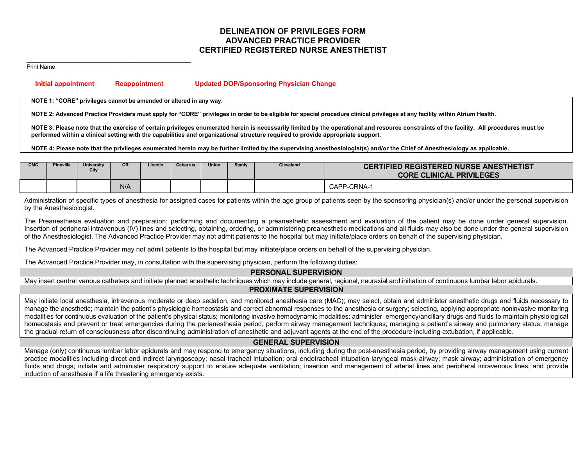# **DELINEATION OF PRIVILEGES FORM ADVANCED PRACTICE PROVIDER CERTIFIED REGISTERED NURSE ANESTHETIST**

#### \_\_\_\_\_\_\_\_\_\_\_\_\_\_\_\_\_\_\_\_\_\_\_\_\_\_\_\_\_\_\_\_\_\_\_\_\_\_\_\_\_ Print Name

 **Initial appointment Reappointment Updated DOP/Sponsoring Physician Change** 

**NOTE 1: "CORE" privileges cannot be amended or altered in any way.** 

NOTE 2: Advanced Practice Providers must apply for "CORE" privileges in order to be eligible for special procedure clinical privileges at any facility within Atrium Health.

NOTE 3: Please note that the exercise of certain privileges enumerated herein is necessarily limited by the operational and resource constraints of the facility. All procedures must be **performed within a clinical setting with the capabilities and organizational structure required to provide appropriate support.**

**NOTE 4: Please note that the privileges enumerated herein may be further limited by the supervising anesthesiologist(s) and/or the Chief of Anesthesiology as applicable.**

| <b>CMC</b> | <b>Pineville</b> | University<br>City | <b>CR</b> | Lincoln | Cabarrus | <b>Union</b> | <b>Stanly</b> | <b>Cleveland</b> | <b>CERTIFIED REGISTERED NURSE ANESTHETIST</b><br><b>CORE CLINICAL PRIVILEGES</b> |  |
|------------|------------------|--------------------|-----------|---------|----------|--------------|---------------|------------------|----------------------------------------------------------------------------------|--|
|            |                  |                    | N/A       |         |          |              |               |                  | CAPP-CRNA-1                                                                      |  |

Administration of specific types of anesthesia for assigned cases for patients within the age group of patients seen by the sponsoring physician(s) and/or under the personal supervision by the Anesthesiologist.

The Preanesthesia evaluation and preparation; performing and documenting a preanesthetic assessment and evaluation of the patient may be done under general supervision. Insertion of peripheral intravenous (IV) lines and selecting, obtaining, ordering, or administering preanesthetic medications and all fluids may also be done under the general supervision of the Anesthesiologist. The Advanced Practice Provider may not admit patients to the hospital but may initiate/place orders on behalf of the supervising physician.

The Advanced Practice Provider may not admit patients to the hospital but may initiate/place orders on behalf of the supervising physician.

The Advanced Practice Provider may, in consultation with the supervising physician, perform the following duties:

### **PERSONAL SUPERVISION**

May insert central venous catheters and initiate planned anesthetic techniques which may include general, regional, neuraxial and initiation of continuous lumbar labor epidurals.

# **PROXIMATE SUPERVISION**

May initiate local anesthesia, intravenous moderate or deep sedation, and monitored anesthesia care (MAC); may select, obtain and administer anesthetic drugs and fluids necessary to manage the anesthetic; maintain the patient's physiologic homeostasis and correct abnormal responses to the anesthesia or surgery; selecting, applying appropriate noninvasive monitoring modalities for continuous evaluation of the patient's physical status; monitoring invasive hemodynamic modalities; administer emergency/ancillary drugs and fluids to maintain physiological homeostasis and prevent or treat emergencies during the perianesthesia period; perform airway management techniques; managing a patient's airway and pulmonary status; manage the gradual return of consciousness after discontinuing administration of anesthetic and adjuvant agents at the end of the procedure including extubation, if applicable.

## **GENERAL SUPERVISION**

Manage (only) continuous lumbar labor epidurals and may respond to emergency situations, including during the post-anesthesia period, by providing airway management using current practice modalities including direct and indirect laryngoscopy; nasal tracheal intubation; oral endotracheal intubation laryngeal mask airway; mask airway; administration of emergency fluids and drugs; initiate and administer respiratory support to ensure adequate ventilation; insertion and management of arterial lines and peripheral intravenous lines; and provide induction of anesthesia if a life threatening emergency exists.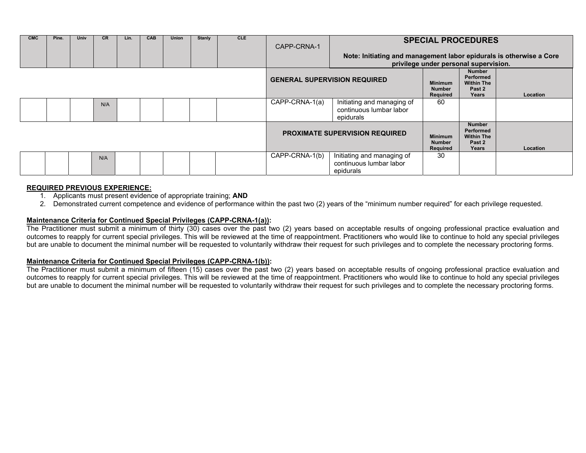| <b>CMC</b> | Pine. | Univ | <b>CR</b> | Lin. | <b>CAB</b> | Union | <b>Stanly</b> | <b>CLE</b> | CAPP-CRNA-1                           | <b>SPECIAL PROCEDURES</b>                                                                                    |                                             |                                                                    |          |
|------------|-------|------|-----------|------|------------|-------|---------------|------------|---------------------------------------|--------------------------------------------------------------------------------------------------------------|---------------------------------------------|--------------------------------------------------------------------|----------|
|            |       |      |           |      |            |       |               |            |                                       | Note: Initiating and management labor epidurals is otherwise a Core<br>privilege under personal supervision. |                                             |                                                                    |          |
|            |       |      |           |      |            |       |               |            | <b>GENERAL SUPERVISION REQUIRED</b>   |                                                                                                              | <b>Minimum</b><br><b>Number</b><br>Required | <b>Number</b><br>Performed<br><b>Within The</b><br>Past 2<br>Years | Location |
|            |       |      | N/A       |      |            |       |               |            | CAPP-CRNA-1(a)                        | Initiating and managing of<br>continuous lumbar labor<br>epidurals                                           | 60                                          |                                                                    |          |
|            |       |      |           |      |            |       |               |            | <b>PROXIMATE SUPERVISION REQUIRED</b> |                                                                                                              | <b>Minimum</b><br><b>Number</b><br>Required | <b>Number</b><br>Performed<br><b>Within The</b><br>Past 2<br>Years | Location |
|            |       |      | N/A       |      |            |       |               |            | CAPP-CRNA-1(b)                        | Initiating and managing of<br>continuous lumbar labor<br>epidurals                                           | 30                                          |                                                                    |          |

# **REQUIRED PREVIOUS EXPERIENCE:**

- 1. Applicants must present evidence of appropriate training; **AND**
- 2. Demonstrated current competence and evidence of performance within the past two (2) years of the "minimum number required" for each privilege requested.

# **Maintenance Criteria for Continued Special Privileges (CAPP-CRNA-1(a)):**

The Practitioner must submit a minimum of thirty (30) cases over the past two (2) years based on acceptable results of ongoing professional practice evaluation and outcomes to reapply for current special privileges. This will be reviewed at the time of reappointment. Practitioners who would like to continue to hold any special privileges but are unable to document the minimal number will be requested to voluntarily withdraw their request for such privileges and to complete the necessary proctoring forms.

# **Maintenance Criteria for Continued Special Privileges (CAPP-CRNA-1(b)):**

The Practitioner must submit a minimum of fifteen (15) cases over the past two (2) years based on acceptable results of ongoing professional practice evaluation and outcomes to reapply for current special privileges. This will be reviewed at the time of reappointment. Practitioners who would like to continue to hold any special privileges but are unable to document the minimal number will be requested to voluntarily withdraw their request for such privileges and to complete the necessary proctoring forms.